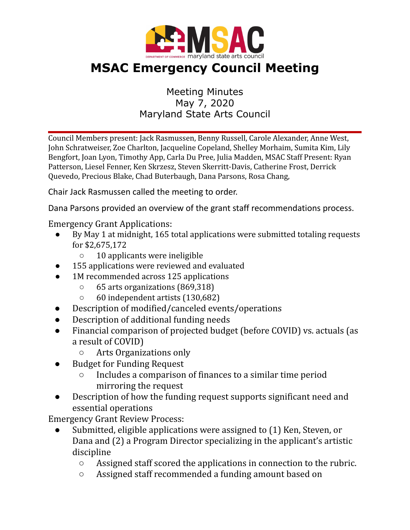

## **MSAC Emergency Council Meeting**

## Meeting Minutes May 7, 2020 Maryland State Arts Council

Council Members present: Jack Rasmussen, Benny Russell, Carole Alexander, Anne West, John Schratweiser, Zoe Charlton, Jacqueline Copeland, Shelley Morhaim, Sumita Kim, Lily Bengfort, Joan Lyon, Timothy App, Carla Du Pree, Julia Madden, MSAC Staff Present: Ryan Patterson, Liesel Fenner, Ken Skrzesz, Steven Skerritt-Davis, Catherine Frost, Derrick Quevedo, Precious Blake, Chad Buterbaugh, Dana Parsons, Rosa Chang,

Chair Jack Rasmussen called the meeting to order.

Dana Parsons provided an overview of the grant staff recommendations process.

Emergency Grant Applications:

- By May 1 at midnight, 165 total applications were submitted totaling requests for \$2,675,172
	- 10 applicants were ineligible
- 155 applications were reviewed and evaluated
- 1M recommended across 125 applications
	- 65 arts organizations (869,318)
	- 60 independent artists (130,682)
- Description of modified/canceled events/operations
- Description of additional funding needs
- Financial comparison of projected budget (before COVID) vs. actuals (as a result of COVID)
	- Arts Organizations only
- **Budget for Funding Request** 
	- Includes a comparison of finances to a similar time period mirroring the request
- Description of how the funding request supports significant need and essential operations

Emergency Grant Review Process:

- Submitted, eligible applications were assigned to (1) Ken, Steven, or Dana and (2) a Program Director specializing in the applicant's artistic discipline
	- Assigned staff scored the applications in connection to the rubric.
	- Assigned staff recommended a funding amount based on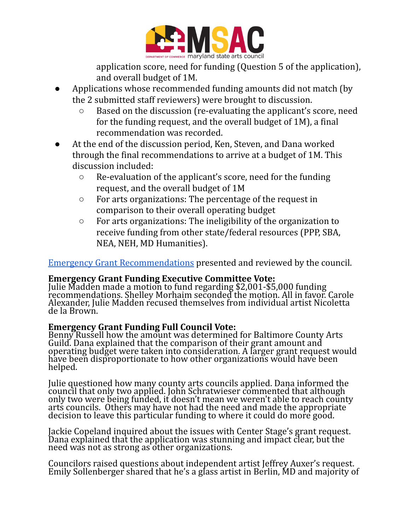

application score, need for funding (Question 5 of the application), and overall budget of 1M.

- Applications whose recommended funding amounts did not match (by the 2 submitted staff reviewers) were brought to discussion.
	- Based on the discussion (re-evaluating the applicant's score, need for the funding request, and the overall budget of 1M), a final recommendation was recorded.
- At the end of the discussion period, Ken, Steven, and Dana worked through the final recommendations to arrive at a budget of 1M. This discussion included:
	- Re-evaluation of the applicant's score, need for the funding request, and the overall budget of 1M
	- For arts organizations: The percentage of the request in comparison to their overall operating budget
	- For arts organizations: The ineligibility of the organization to receive funding from other state/federal resources (PPP, SBA, NEA, NEH, MD Humanities).

Emergency Grant [Recommendations](https://drive.google.com/open?id=1jLPcTfqJSdojFN-h0qL_g-7tfAfMqgtR) presented and reviewed by the council.

## **Emergency Grant Funding Executive Committee Vote:**

Julie Madden made a motion to fund regarding \$2,001-\$5,000 funding recommendations. Shelley Morhaim seconded the motion. All in favor. Carole Alexander, Julie Madden recused themselves from individual artist Nicoletta de la Brown.

## **Emergency Grant Funding Full Council Vote:**

Benny Russell how the amount was determined for Baltimore County Arts Guild. Dana explained that the comparison of their grant amount and operating budget were taken into consideration. A larger grant request would have been disproportionate to how other organizations would have been helped.

Julie questioned how many county arts councils applied. Dana informed the council that only two applied. John Schratwieser commented that although only two were being funded, it doesn't mean we weren't able to reach county arts councils. Others may have not had the need and made the appropriate decision to leave this particular funding to where it could do more good.

Jackie Copeland inquired about the issues with Center Stage's grant request. Dana explained that the application was stunning and impact clear, but the need was not as strong as other organizations.

Councilors raised questions about independent artist Jeffrey Auxer's request. Emily Sollenberger shared that he's a glass artist in Berlin, MD and majority of